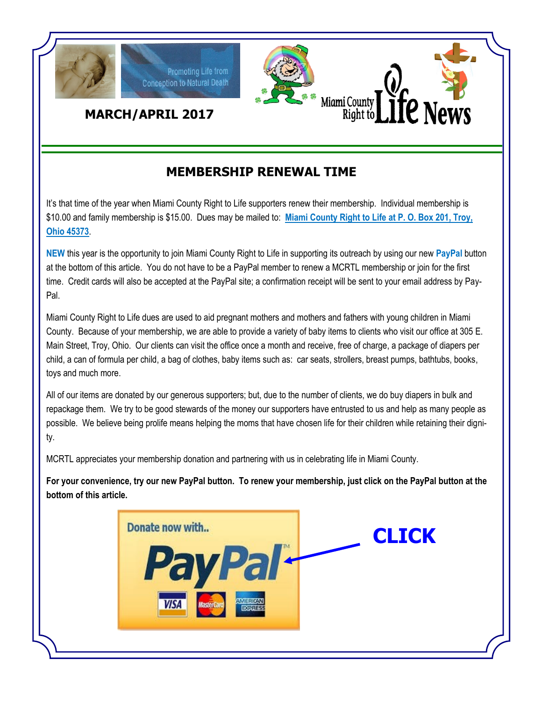







# **MEMBERSHIP RENEWAL TIME**

It's that time of the year when Miami County Right to Life supporters renew their membership. Individual membership is \$10.00 and family membership is \$15.00. Dues may be mailed to: **Miami County Right to Life at P. O. Box 201, Troy, Ohio 45373**.

**NEW** this year is the opportunity to join Miami County Right to Life in supporting its outreach by using our new **PayPal** button at the bottom of this article. You do not have to be a PayPal member to renew a MCRTL membership or join for the first time. Credit cards will also be accepted at the PayPal site; a confirmation receipt will be sent to your email address by Pay-Pal.

Miami County Right to Life dues are used to aid pregnant mothers and mothers and fathers with young children in Miami County. Because of your membership, we are able to provide a variety of baby items to clients who visit our office at 305 E. Main Street, Troy, Ohio. Our clients can visit the office once a month and receive, free of charge, a package of diapers per child, a can of formula per child, a bag of clothes, baby items such as: car seats, strollers, breast pumps, bathtubs, books, toys and much more.

All of our items are donated by our generous supporters; but, due to the number of clients, we do buy diapers in bulk and repackage them. We try to be good stewards of the money our supporters have entrusted to us and help as many people as possible. We believe being prolife means helping the moms that have chosen life for their children while retaining their dignity.

MCRTL appreciates your membership donation and partnering with us in celebrating life in Miami County.

**For your convenience, try our new PayPal button. To renew your membership, just click on the PayPal button at the bottom of this article.** 

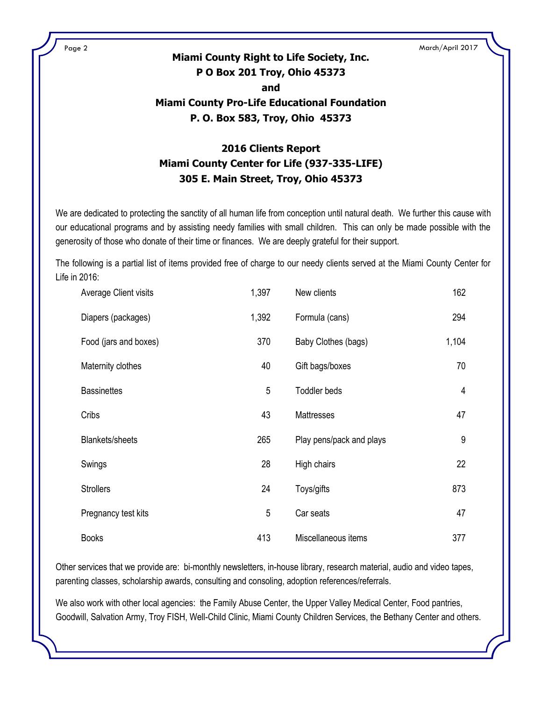Page 2 March/April 2017

### **Miami County Right to Life Society, Inc. P O Box 201 Troy, Ohio 45373 and Miami County Pro-Life Educational Foundation P. O. Box 583, Troy, Ohio 45373**

### **2016 Clients Report Miami County Center for Life (937-335-LIFE) 305 E. Main Street, Troy, Ohio 45373**

We are dedicated to protecting the sanctity of all human life from conception until natural death. We further this cause with our educational programs and by assisting needy families with small children. This can only be made possible with the generosity of those who donate of their time or finances. We are deeply grateful for their support.

The following is a partial list of items provided free of charge to our needy clients served at the Miami County Center for Life in 2016:

| Average Client visits  | 1,397 | New clients              | 162            |
|------------------------|-------|--------------------------|----------------|
| Diapers (packages)     | 1,392 | Formula (cans)           | 294            |
| Food (jars and boxes)  | 370   | Baby Clothes (bags)      | 1,104          |
| Maternity clothes      | 40    | Gift bags/boxes          | 70             |
| <b>Bassinettes</b>     | 5     | <b>Toddler beds</b>      | $\overline{4}$ |
| Cribs                  | 43    | Mattresses               | 47             |
| <b>Blankets/sheets</b> | 265   | Play pens/pack and plays | 9              |
| Swings                 | 28    | High chairs              | 22             |
| <b>Strollers</b>       | 24    | Toys/gifts               | 873            |
| Pregnancy test kits    | 5     | Car seats                | 47             |
| <b>Books</b>           | 413   | Miscellaneous items      | 377            |

Other services that we provide are: bi-monthly newsletters, in-house library, research material, audio and video tapes, parenting classes, scholarship awards, consulting and consoling, adoption references/referrals.

We also work with other local agencies: the Family Abuse Center, the Upper Valley Medical Center, Food pantries, Goodwill, Salvation Army, Troy FISH, Well-Child Clinic, Miami County Children Services, the Bethany Center and others.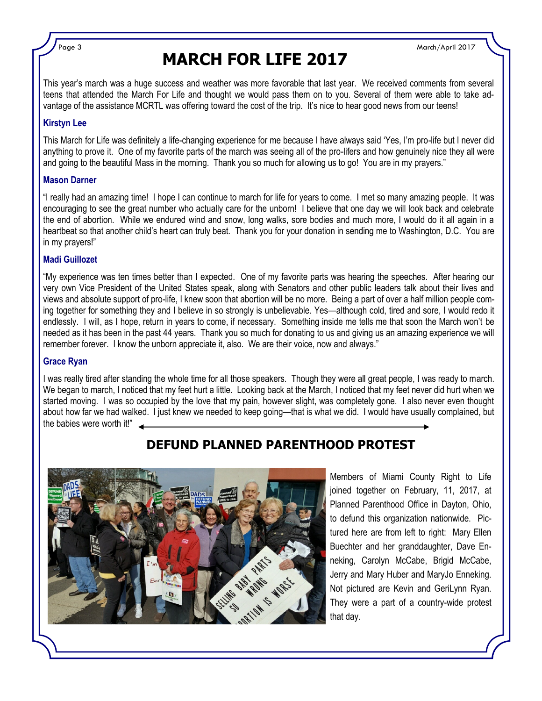### Page 3 March/April 2017 **MARCH FOR LIFE 2017**

This year's march was a huge success and weather was more favorable that last year. We received comments from several teens that attended the March For Life and thought we would pass them on to you. Several of them were able to take advantage of the assistance MCRTL was offering toward the cost of the trip. It's nice to hear good news from our teens!

#### **Kirstyn Lee**

This March for Life was definitely a life-changing experience for me because I have always said 'Yes, I'm pro-life but I never did anything to prove it. One of my favorite parts of the march was seeing all of the pro-lifers and how genuinely nice they all were and going to the beautiful Mass in the morning. Thank you so much for allowing us to go! You are in my prayers."

#### **Mason Darner**

"I really had an amazing time! I hope I can continue to march for life for years to come. I met so many amazing people. It was encouraging to see the great number who actually care for the unborn! I believe that one day we will look back and celebrate the end of abortion. While we endured wind and snow, long walks, sore bodies and much more, I would do it all again in a heartbeat so that another child's heart can truly beat. Thank you for your donation in sending me to Washington, D.C. You are in my prayers!"

#### **Madi Guillozet**

"My experience was ten times better than I expected. One of my favorite parts was hearing the speeches. After hearing our very own Vice President of the United States speak, along with Senators and other public leaders talk about their lives and views and absolute support of pro-life, I knew soon that abortion will be no more. Being a part of over a half million people coming together for something they and I believe in so strongly is unbelievable. Yes—although cold, tired and sore, I would redo it endlessly. I will, as I hope, return in years to come, if necessary. Something inside me tells me that soon the March won't be needed as it has been in the past 44 years. Thank you so much for donating to us and giving us an amazing experience we will remember forever. I know the unborn appreciate it, also. We are their voice, now and always."

#### **Grace Ryan**

I was really tired after standing the whole time for all those speakers. Though they were all great people, I was ready to march. We began to march, I noticed that my feet hurt a little. Looking back at the March, I noticed that my feet never did hurt when we started moving. I was so occupied by the love that my pain, however slight, was completely gone. I also never even thought about how far we had walked. I just knew we needed to keep going—that is what we did. I would have usually complained, but the babies were worth it!"

## **DEFUND PLANNED PARENTHOOD PROTEST**



Members of Miami County Right to Life joined together on February, 11, 2017, at Planned Parenthood Office in Dayton, Ohio, to defund this organization nationwide. Pictured here are from left to right: Mary Ellen Buechter and her granddaughter, Dave Enneking, Carolyn McCabe, Brigid McCabe. Jerry and Mary Huber and MaryJo Enneking. Not pictured are Kevin and GeriLynn Ryan. They were a part of a country-wide protest that day.